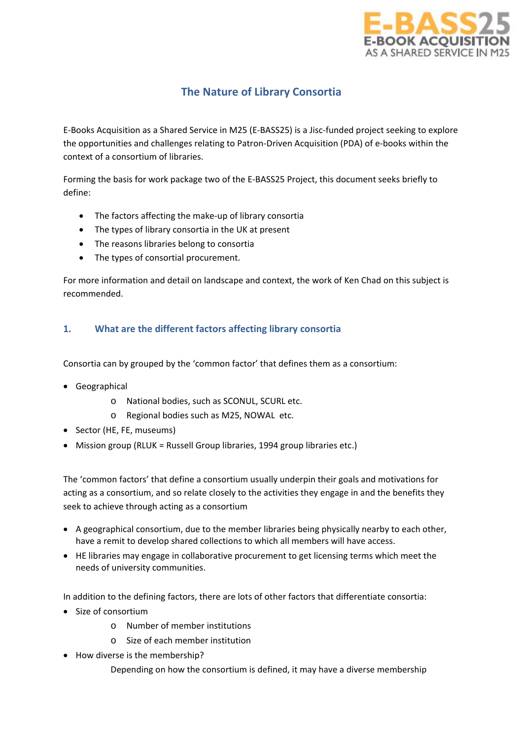

# **The Nature of Library Consortia**

E-Books Acquisition as a Shared Service in M25 (E-BASS25) is a Jisc-funded project seeking to explore the opportunities and challenges relating to Patron-Driven Acquisition (PDA) of e-books within the context of a consortium of libraries.

Forming the basis for work package two of the E-BASS25 Project, this document seeks briefly to define:

- The factors affecting the make-up of library consortia
- The types of library consortia in the UK at present
- The reasons libraries belong to consortia
- The types of consortial procurement.

For more information and detail on landscape and context, the work of Ken Chad on this subject is recommended.

# **1. What are the different factors affecting library consortia**

Consortia can by grouped by the 'common factor' that defines them as a consortium:

- Geographical
	- o National bodies, such as SCONUL, SCURL etc.
	- o Regional bodies such as M25, NOWAL etc.
- Sector (HE, FE, museums)
- Mission group (RLUK = Russell Group libraries, 1994 group libraries etc.)

The 'common factors' that define a consortium usually underpin their goals and motivations for acting as a consortium, and so relate closely to the activities they engage in and the benefits they seek to achieve through acting as a consortium

- A geographical consortium, due to the member libraries being physically nearby to each other, have a remit to develop shared collections to which all members will have access.
- HE libraries may engage in collaborative procurement to get licensing terms which meet the needs of university communities.

In addition to the defining factors, there are lots of other factors that differentiate consortia:

- Size of consortium
	- o Number of member institutions
	- o Size of each member institution
- How diverse is the membership?

Depending on how the consortium is defined, it may have a diverse membership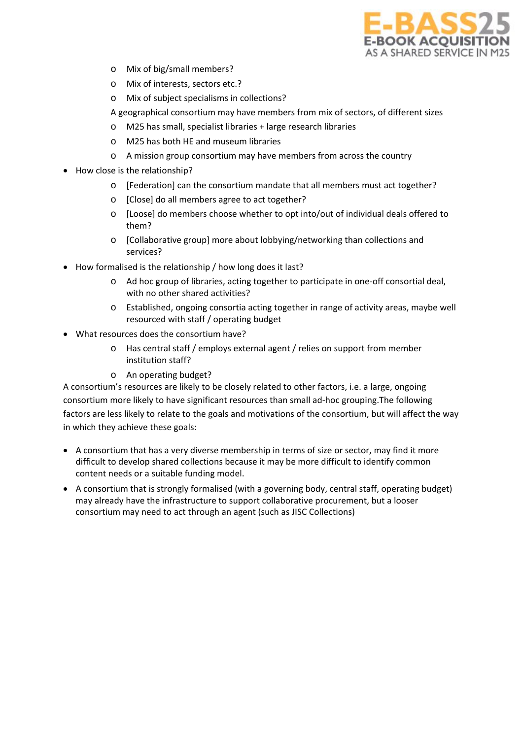

- o Mix of big/small members?
- o Mix of interests, sectors etc.?
- o Mix of subject specialisms in collections?
- A geographical consortium may have members from mix of sectors, of different sizes
- M25 has small, specialist libraries + large research libraries
- o M25 has both HE and museum libraries
- o A mission group consortium may have members from across the country
- How close is the relationship?
	- o [Federation] can the consortium mandate that all members must act together?
	- o [Close] do all members agree to act together?
	- o [Loose] do members choose whether to opt into/out of individual deals offered to them?
	- o [Collaborative group] more about lobbying/networking than collections and services?
- How formalised is the relationship / how long does it last?
	- o Ad hoc group of libraries, acting together to participate in one-off consortial deal, with no other shared activities?
	- o Established, ongoing consortia acting together in range of activity areas, maybe well resourced with staff / operating budget
- What resources does the consortium have?
	- o Has central staff / employs external agent / relies on support from member institution staff?
	- o An operating budget?

A consortium's resources are likely to be closely related to other factors, i.e. a large, ongoing consortium more likely to have significant resources than small ad-hoc grouping.The following factors are less likely to relate to the goals and motivations of the consortium, but will affect the way in which they achieve these goals:

- A consortium that has a very diverse membership in terms of size or sector, may find it more difficult to develop shared collections because it may be more difficult to identify common content needs or a suitable funding model.
- A consortium that is strongly formalised (with a governing body, central staff, operating budget) may already have the infrastructure to support collaborative procurement, but a looser consortium may need to act through an agent (such as JISC Collections)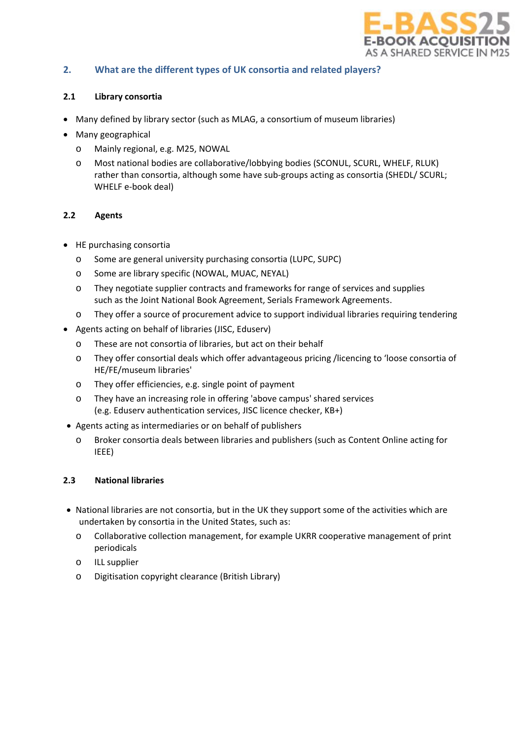

## **2. What are the different types of UK consortia and related players?**

## **2.1 Library consortia**

- Many defined by library sector (such as MLAG, a consortium of museum libraries)
- Many geographical
	- o Mainly regional, e.g. M25, NOWAL
	- o Most national bodies are collaborative/lobbying bodies (SCONUL, SCURL, WHELF, RLUK) rather than consortia, although some have sub-groups acting as consortia (SHEDL/ SCURL; WHELF e-book deal)

## **2.2 Agents**

- HE purchasing consortia
	- o Some are general university purchasing consortia (LUPC, SUPC)
	- o Some are library specific (NOWAL, MUAC, NEYAL)
	- o They negotiate supplier contracts and frameworks for range of services and supplies such as the Joint National Book Agreement, Serials Framework Agreements.
	- o They offer a source of procurement advice to support individual libraries requiring tendering
- Agents acting on behalf of libraries (JISC, Eduserv)
	- o These are not consortia of libraries, but act on their behalf
	- o They offer consortial deals which offer advantageous pricing /licencing to 'loose consortia of HE/FE/museum libraries'
	- o They offer efficiencies, e.g. single point of payment
	- o They have an increasing role in offering 'above campus' shared services (e.g. Eduserv authentication services, JISC licence checker, KB+)
- Agents acting as intermediaries or on behalf of publishers
	- o Broker consortia deals between libraries and publishers (such as Content Online acting for IEEE)

#### **2.3 National libraries**

- National libraries are not consortia, but in the UK they support some of the activities which are undertaken by consortia in the United States, such as:
	- o Collaborative collection management, for example UKRR cooperative management of print periodicals
	- o ILL supplier
	- o Digitisation copyright clearance (British Library)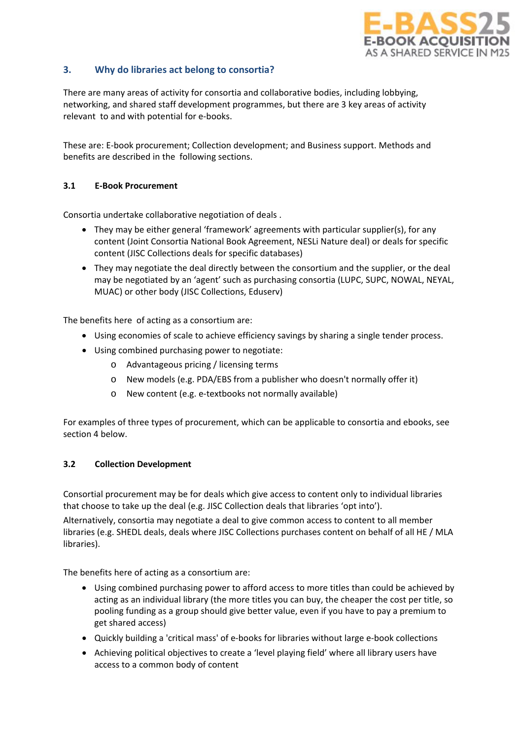

# **3. Why do libraries act belong to consortia?**

There are many areas of activity for consortia and collaborative bodies, including lobbying, networking, and shared staff development programmes, but there are 3 key areas of activity relevant to and with potential for e-books.

These are: E-book procurement; Collection development; and Business support. Methods and benefits are described in the following sections.

### **3.1 E-Book Procurement**

Consortia undertake collaborative negotiation of deals .

- They may be either general 'framework' agreements with particular supplier(s), for any content (Joint Consortia National Book Agreement, NESLi Nature deal) or deals for specific content (JISC Collections deals for specific databases)
- They may negotiate the deal directly between the consortium and the supplier, or the deal may be negotiated by an 'agent' such as purchasing consortia (LUPC, SUPC, NOWAL, NEYAL, MUAC) or other body (JISC Collections, Eduserv)

The benefits here of acting as a consortium are:

- Using economies of scale to achieve efficiency savings by sharing a single tender process.
- Using combined purchasing power to negotiate:
	- o Advantageous pricing / licensing terms
	- o New models (e.g. PDA/EBS from a publisher who doesn't normally offer it)
	- o New content (e.g. e-textbooks not normally available)

For examples of three types of procurement, which can be applicable to consortia and ebooks, see section 4 below.

#### **3.2 Collection Development**

Consortial procurement may be for deals which give access to content only to individual libraries that choose to take up the deal (e.g. JISC Collection deals that libraries 'opt into'). Alternatively, consortia may negotiate a deal to give common access to content to all member libraries (e.g. SHEDL deals, deals where JISC Collections purchases content on behalf of all HE / MLA libraries).

The benefits here of acting as a consortium are:

- Using combined purchasing power to afford access to more titles than could be achieved by acting as an individual library (the more titles you can buy, the cheaper the cost per title, so pooling funding as a group should give better value, even if you have to pay a premium to get shared access)
- Quickly building a 'critical mass' of e-books for libraries without large e-book collections
- Achieving political objectives to create a 'level playing field' where all library users have access to a common body of content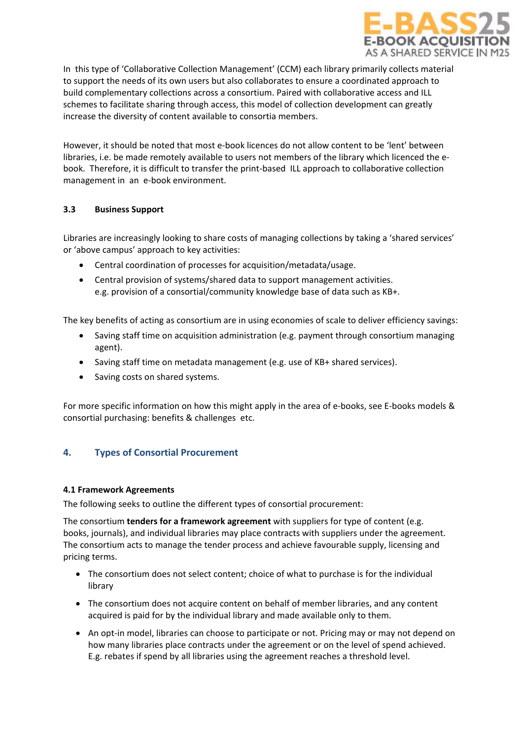

In this type of 'Collaborative Collection Management' (CCM) each library primarily collects material to support the needs of its own users but also collaborates to ensure a coordinated approach to build complementary collections across a consortium. Paired with collaborative access and ILL schemes to facilitate sharing through access, this model of collection development can greatly increase the diversity of content available to consortia members.

However, it should be noted that most e-book licences do not allow content to be 'lent' between libraries, i.e. be made remotely available to users not members of the library which licenced the ebook. Therefore, it is difficult to transfer the print-based ILL approach to collaborative collection management in an e-book environment.

## **3.3 Business Support**

Libraries are increasingly looking to share costs of managing collections by taking a 'shared services' or 'above campus' approach to key activities:

- Central coordination of processes for acquisition/metadata/usage.
- Central provision of systems/shared data to support management activities. e.g. provision of a consortial/community knowledge base of data such as KB+.

The key benefits of acting as consortium are in using economies of scale to deliver efficiency savings:

- Saving staff time on acquisition administration (e.g. payment through consortium managing agent).
- Saving staff time on metadata management (e.g. use of KB+ shared services).
- Saving costs on shared systems.

For more specific information on how this might apply in the area of e-books, see E-books models & consortial purchasing: benefits & challenges etc.

## **4. Types of Consortial Procurement**

#### **4.1 Framework Agreements**

The following seeks to outline the different types of consortial procurement:

The consortium **tenders for a framework agreement** with suppliers for type of content (e.g. books, journals), and individual libraries may place contracts with suppliers under the agreement. The consortium acts to manage the tender process and achieve favourable supply, licensing and pricing terms.

- The consortium does not select content; choice of what to purchase is for the individual library
- The consortium does not acquire content on behalf of member libraries, and any content acquired is paid for by the individual library and made available only to them.
- An opt-in model, libraries can choose to participate or not. Pricing may or may not depend on how many libraries place contracts under the agreement or on the level of spend achieved. E.g. rebates if spend by all libraries using the agreement reaches a threshold level.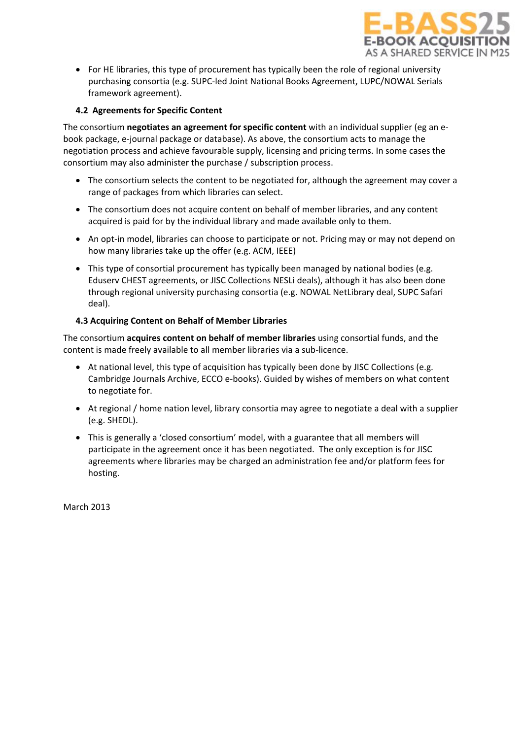

• For HE libraries, this type of procurement has typically been the role of regional university purchasing consortia (e.g. SUPC-led Joint National Books Agreement, LUPC/NOWAL Serials framework agreement).

## **4.2 Agreements for Specific Content**

The consortium **negotiates an agreement for specific content** with an individual supplier (eg an ebook package, e-journal package or database). As above, the consortium acts to manage the negotiation process and achieve favourable supply, licensing and pricing terms. In some cases the consortium may also administer the purchase / subscription process.

- The consortium selects the content to be negotiated for, although the agreement may cover a range of packages from which libraries can select.
- The consortium does not acquire content on behalf of member libraries, and any content acquired is paid for by the individual library and made available only to them.
- An opt-in model, libraries can choose to participate or not. Pricing may or may not depend on how many libraries take up the offer (e.g. ACM, IEEE)
- This type of consortial procurement has typically been managed by national bodies (e.g. Eduserv CHEST agreements, or JISC Collections NESLi deals), although it has also been done through regional university purchasing consortia (e.g. NOWAL NetLibrary deal, SUPC Safari deal).

## **4.3 Acquiring Content on Behalf of Member Libraries**

The consortium **acquires content on behalf of member libraries** using consortial funds, and the content is made freely available to all member libraries via a sub-licence.

- At national level, this type of acquisition has typically been done by JISC Collections (e.g. Cambridge Journals Archive, ECCO e-books). Guided by wishes of members on what content to negotiate for.
- At regional / home nation level, library consortia may agree to negotiate a deal with a supplier (e.g. SHEDL).
- This is generally a 'closed consortium' model, with a guarantee that all members will participate in the agreement once it has been negotiated. The only exception is for JISC agreements where libraries may be charged an administration fee and/or platform fees for hosting.

March 2013